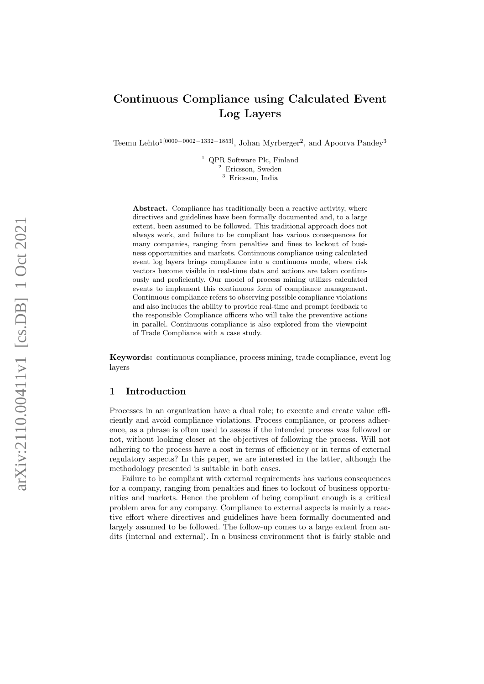# Continuous Compliance using Calculated Event Log Layers

Teemu Lehto<sup>1</sup><sup>[0000–0002–1332–1853]</sup>, Johan Myrberger<sup>2</sup>, and Apoorva Pandey<sup>3</sup>

<sup>1</sup> QPR Software Plc, Finland <sup>2</sup> Ericsson, Sweden <sup>3</sup> Ericsson, India

Abstract. Compliance has traditionally been a reactive activity, where directives and guidelines have been formally documented and, to a large extent, been assumed to be followed. This traditional approach does not always work, and failure to be compliant has various consequences for many companies, ranging from penalties and fines to lockout of business opportunities and markets. Continuous compliance using calculated event log layers brings compliance into a continuous mode, where risk vectors become visible in real-time data and actions are taken continuously and proficiently. Our model of process mining utilizes calculated events to implement this continuous form of compliance management. Continuous compliance refers to observing possible compliance violations and also includes the ability to provide real-time and prompt feedback to the responsible Compliance officers who will take the preventive actions in parallel. Continuous compliance is also explored from the viewpoint of Trade Compliance with a case study.

Keywords: continuous compliance, process mining, trade compliance, event log layers

# 1 Introduction

Processes in an organization have a dual role; to execute and create value efficiently and avoid compliance violations. Process compliance, or process adherence, as a phrase is often used to assess if the intended process was followed or not, without looking closer at the objectives of following the process. Will not adhering to the process have a cost in terms of efficiency or in terms of external regulatory aspects? In this paper, we are interested in the latter, although the methodology presented is suitable in both cases.

Failure to be compliant with external requirements has various consequences for a company, ranging from penalties and fines to lockout of business opportunities and markets. Hence the problem of being compliant enough is a critical problem area for any company. Compliance to external aspects is mainly a reactive effort where directives and guidelines have been formally documented and largely assumed to be followed. The follow-up comes to a large extent from audits (internal and external). In a business environment that is fairly stable and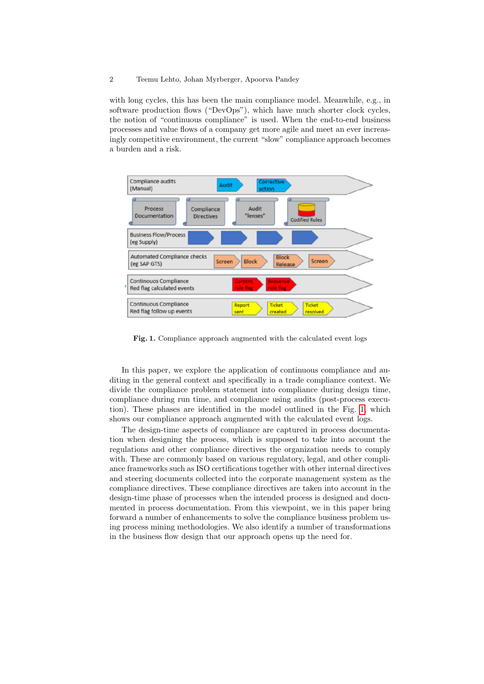with long cycles, this has been the main compliance model. Meanwhile, e.g., in software production flows ("DevOps"), which have much shorter clock cycles, the notion of "continuous compliance" is used. When the end-to-end business processes and value flows of a company get more agile and meet an ever increasingly competitive environment, the current "slow" compliance approach becomes a burden and a risk.



<span id="page-1-0"></span>Fig. 1. Compliance approach augmented with the calculated event logs

In this paper, we explore the application of continuous compliance and auditing in the general context and specifically in a trade compliance context. We divide the compliance problem statement into compliance during design time, compliance during run time, and compliance using audits (post-process execution). These phases are identified in the model outlined in the Fig. [1,](#page-1-0) which shows our compliance approach augmented with the calculated event logs.

The design-time aspects of compliance are captured in process documentation when designing the process, which is supposed to take into account the regulations and other compliance directives the organization needs to comply with. These are commonly based on various regulatory, legal, and other compliance frameworks such as ISO certifications together with other internal directives and steering documents collected into the corporate management system as the compliance directives. These compliance directives are taken into account in the design-time phase of processes when the intended process is designed and documented in process documentation. From this viewpoint, we in this paper bring forward a number of enhancements to solve the compliance business problem using process mining methodologies. We also identify a number of transformations in the business flow design that our approach opens up the need for.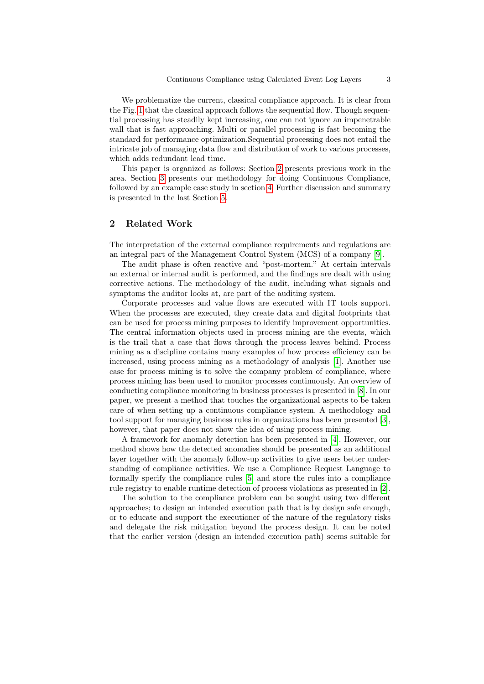We problematize the current, classical compliance approach. It is clear from the Fig. [1](#page-1-0) that the classical approach follows the sequential flow. Though sequential processing has steadily kept increasing, one can not ignore an impenetrable wall that is fast approaching. Multi or parallel processing is fast becoming the standard for performance optimization.Sequential processing does not entail the intricate job of managing data flow and distribution of work to various processes, which adds redundant lead time.

This paper is organized as follows: Section [2](#page-2-0) presents previous work in the area. Section [3](#page-3-0) presents our methodology for doing Continuous Compliance, followed by an example case study in section [4.](#page-5-0) Further discussion and summary is presented in the last Section [5.](#page-10-0)

# <span id="page-2-0"></span>2 Related Work

The interpretation of the external compliance requirements and regulations are an integral part of the Management Control System (MCS) of a company [\[9\]](#page-11-0).

The audit phase is often reactive and "post-mortem." At certain intervals an external or internal audit is performed, and the findings are dealt with using corrective actions. The methodology of the audit, including what signals and symptoms the auditor looks at, are part of the auditing system.

Corporate processes and value flows are executed with IT tools support. When the processes are executed, they create data and digital footprints that can be used for process mining purposes to identify improvement opportunities. The central information objects used in process mining are the events, which is the trail that a case that flows through the process leaves behind. Process mining as a discipline contains many examples of how process efficiency can be increased, using process mining as a methodology of analysis [\[1\]](#page-11-1). Another use case for process mining is to solve the company problem of compliance, where process mining has been used to monitor processes continuously. An overview of conducting compliance monitoring in business processes is presented in [\[8\]](#page-11-2). In our paper, we present a method that touches the organizational aspects to be taken care of when setting up a continuous compliance system. A methodology and tool support for managing business rules in organizations has been presented [\[3\]](#page-11-3), however, that paper does not show the idea of using process mining.

A framework for anomaly detection has been presented in [\[4\]](#page-11-4). However, our method shows how the detected anomalies should be presented as an additional layer together with the anomaly follow-up activities to give users better understanding of compliance activities. We use a Compliance Request Language to formally specify the compliance rules [\[5\]](#page-11-5) and store the rules into a compliance rule registry to enable runtime detection of process violations as presented in [\[2\]](#page-11-6).

The solution to the compliance problem can be sought using two different approaches; to design an intended execution path that is by design safe enough, or to educate and support the executioner of the nature of the regulatory risks and delegate the risk mitigation beyond the process design. It can be noted that the earlier version (design an intended execution path) seems suitable for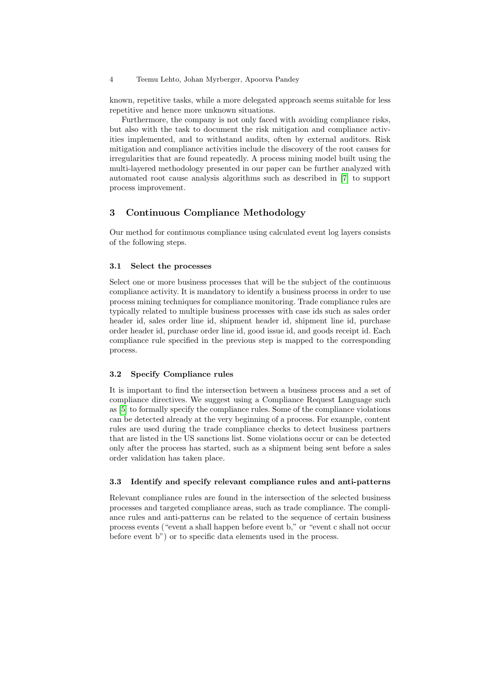known, repetitive tasks, while a more delegated approach seems suitable for less repetitive and hence more unknown situations.

Furthermore, the company is not only faced with avoiding compliance risks, but also with the task to document the risk mitigation and compliance activities implemented, and to withstand audits, often by external auditors. Risk mitigation and compliance activities include the discovery of the root causes for irregularities that are found repeatedly. A process mining model built using the multi-layered methodology presented in our paper can be further analyzed with automated root cause analysis algorithms such as described in [\[7\]](#page-11-7) to support process improvement.

# <span id="page-3-0"></span>3 Continuous Compliance Methodology

Our method for continuous compliance using calculated event log layers consists of the following steps.

#### 3.1 Select the processes

Select one or more business processes that will be the subject of the continuous compliance activity. It is mandatory to identify a business process in order to use process mining techniques for compliance monitoring. Trade compliance rules are typically related to multiple business processes with case ids such as sales order header id, sales order line id, shipment header id, shipment line id, purchase order header id, purchase order line id, good issue id, and goods receipt id. Each compliance rule specified in the previous step is mapped to the corresponding process.

## 3.2 Specify Compliance rules

It is important to find the intersection between a business process and a set of compliance directives. We suggest using a Compliance Request Language such as [\[5\]](#page-11-5) to formally specify the compliance rules. Some of the compliance violations can be detected already at the very beginning of a process. For example, content rules are used during the trade compliance checks to detect business partners that are listed in the US sanctions list. Some violations occur or can be detected only after the process has started, such as a shipment being sent before a sales order validation has taken place.

## 3.3 Identify and specify relevant compliance rules and anti-patterns

Relevant compliance rules are found in the intersection of the selected business processes and targeted compliance areas, such as trade compliance. The compliance rules and anti-patterns can be related to the sequence of certain business process events ("event a shall happen before event b," or "event c shall not occur before event b") or to specific data elements used in the process.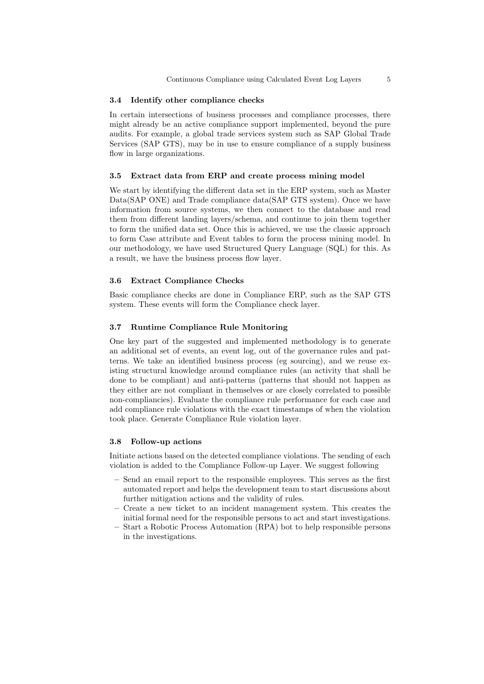#### 3.4 Identify other compliance checks

In certain intersections of business processes and compliance processes, there might already be an active compliance support implemented, beyond the pure audits. For example, a global trade services system such as SAP Global Trade Services (SAP GTS), may be in use to ensure compliance of a supply business flow in large organizations.

# 3.5 Extract data from ERP and create process mining model

We start by identifying the different data set in the ERP system, such as Master Data(SAP ONE) and Trade compliance data(SAP GTS system). Once we have information from source systems, we then connect to the database and read them from different landing layers/schema, and continue to join them together to form the unified data set. Once this is achieved, we use the classic approach to form Case attribute and Event tables to form the process mining model. In our methodology, we have used Structured Query Language (SQL) for this. As a result, we have the business process flow layer.

## 3.6 Extract Compliance Checks

Basic compliance checks are done in Compliance ERP, such as the SAP GTS system. These events will form the Compliance check layer.

## 3.7 Runtime Compliance Rule Monitoring

One key part of the suggested and implemented methodology is to generate an additional set of events, an event log, out of the governance rules and patterns. We take an identified business process (eg sourcing), and we reuse existing structural knowledge around compliance rules (an activity that shall be done to be compliant) and anti-patterns (patterns that should not happen as they either are not compliant in themselves or are closely correlated to possible non-compliancies). Evaluate the compliance rule performance for each case and add compliance rule violations with the exact timestamps of when the violation took place. Generate Compliance Rule violation layer.

#### 3.8 Follow-up actions

Initiate actions based on the detected compliance violations. The sending of each violation is added to the Compliance Follow-up Layer. We suggest following

- Send an email report to the responsible employees. This serves as the first automated report and helps the development team to start discussions about further mitigation actions and the validity of rules.
- Create a new ticket to an incident management system. This creates the initial formal need for the responsible persons to act and start investigations.
- Start a Robotic Process Automation (RPA) bot to help responsible persons in the investigations.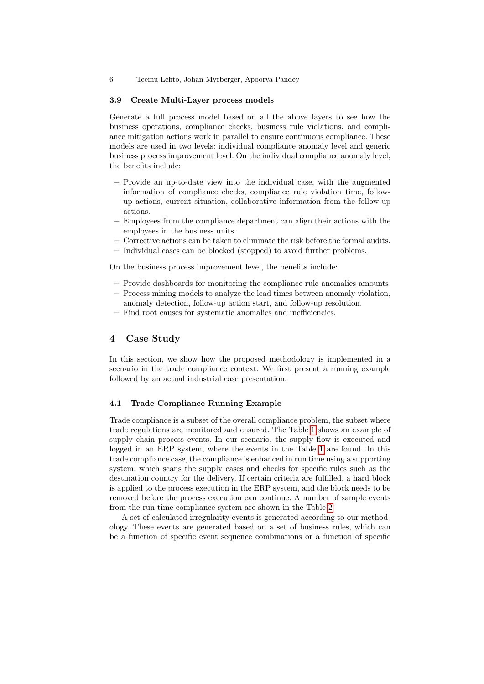#### 3.9 Create Multi-Layer process models

Generate a full process model based on all the above layers to see how the business operations, compliance checks, business rule violations, and compliance mitigation actions work in parallel to ensure continuous compliance. These models are used in two levels: individual compliance anomaly level and generic business process improvement level. On the individual compliance anomaly level, the benefits include:

- Provide an up-to-date view into the individual case, with the augmented information of compliance checks, compliance rule violation time, followup actions, current situation, collaborative information from the follow-up actions.
- Employees from the compliance department can align their actions with the employees in the business units.
- Corrective actions can be taken to eliminate the risk before the formal audits.
- Individual cases can be blocked (stopped) to avoid further problems.

On the business process improvement level, the benefits include:

- Provide dashboards for monitoring the compliance rule anomalies amounts
- Process mining models to analyze the lead times between anomaly violation, anomaly detection, follow-up action start, and follow-up resolution.
- Find root causes for systematic anomalies and inefficiencies.

# <span id="page-5-0"></span>4 Case Study

In this section, we show how the proposed methodology is implemented in a scenario in the trade compliance context. We first present a running example followed by an actual industrial case presentation.

#### 4.1 Trade Compliance Running Example

Trade compliance is a subset of the overall compliance problem, the subset where trade regulations are monitored and ensured. The Table [1](#page-6-0) shows an example of supply chain process events. In our scenario, the supply flow is executed and logged in an ERP system, where the events in the Table [1](#page-6-0) are found. In this trade compliance case, the compliance is enhanced in run time using a supporting system, which scans the supply cases and checks for specific rules such as the destination country for the delivery. If certain criteria are fulfilled, a hard block is applied to the process execution in the ERP system, and the block needs to be removed before the process execution can continue. A number of sample events from the run time compliance system are shown in the Table [2](#page-6-1)

A set of calculated irregularity events is generated according to our methodology. These events are generated based on a set of business rules, which can be a function of specific event sequence combinations or a function of specific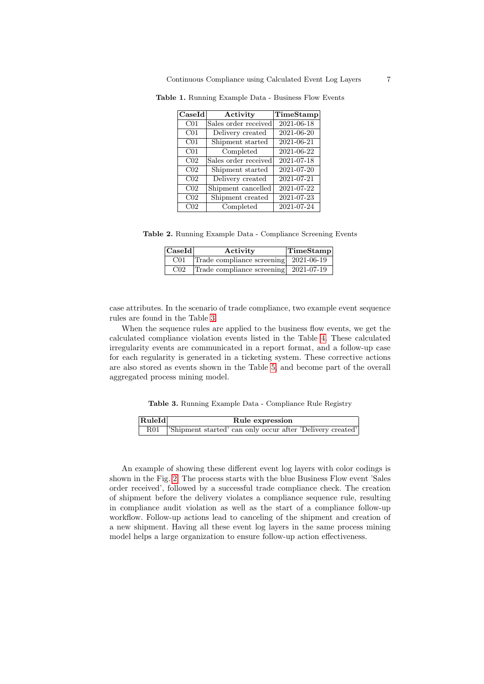<span id="page-6-0"></span>

| CaseId          | Activity             | TimeStamp        |
|-----------------|----------------------|------------------|
| CO <sub>1</sub> | Sales order received | $2021 - 06 - 18$ |
| CO <sub>1</sub> | Delivery created     | 2021-06-20       |
| CO <sub>1</sub> | Shipment started     | 2021-06-21       |
| CO <sub>1</sub> | Completed            | 2021-06-22       |
| C <sub>02</sub> | Sales order received | 2021-07-18       |
| C <sub>02</sub> | Shipment started     | 2021-07-20       |
| C <sub>02</sub> | Delivery created     | 2021-07-21       |
| C <sub>02</sub> | Shipment cancelled   | 2021-07-22       |
| C <sub>02</sub> | Shipment created     | 2021-07-23       |
| C <sub>02</sub> | Completed            | 2021-07-24       |

Table 1. Running Example Data - Business Flow Events

Table 2. Running Example Data - Compliance Screening Events

<span id="page-6-1"></span>

| $ {\rm Case Id} $ | Activity                              | TimeStamp |
|-------------------|---------------------------------------|-----------|
| C <sub>01</sub>   | Trade compliance screening 2021-06-19 |           |
| C <sub>02</sub>   | Trade compliance screening 2021-07-19 |           |

case attributes. In the scenario of trade compliance, two example event sequence rules are found in the Table [3.](#page-6-2)

When the sequence rules are applied to the business flow events, we get the calculated compliance violation events listed in the Table [4.](#page-7-0) These calculated irregularity events are communicated in a report format, and a follow-up case for each regularity is generated in a ticketing system. These corrective actions are also stored as events shown in the Table [5,](#page-7-1) and become part of the overall aggregated process mining model.

<span id="page-6-2"></span>Table 3. Running Example Data - Compliance Rule Registry

| RuleId | Rule expression                                               |
|--------|---------------------------------------------------------------|
|        | R01 Shipment started' can only occur after 'Delivery created' |

An example of showing these different event log layers with color codings is shown in the Fig. [2.](#page-7-2) The process starts with the blue Business Flow event 'Sales order received', followed by a successful trade compliance check. The creation of shipment before the delivery violates a compliance sequence rule, resulting in compliance audit violation as well as the start of a compliance follow-up workflow. Follow-up actions lead to canceling of the shipment and creation of a new shipment. Having all these event log layers in the same process mining model helps a large organization to ensure follow-up action effectiveness.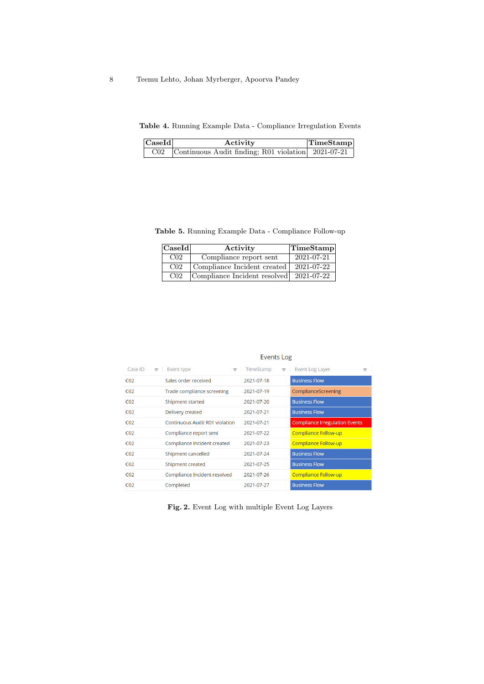<span id="page-7-0"></span>Table 4. Running Example Data - Compliance Irregulation Events

| $ {\bf Case Id} $ | Activity                                                   | <b>TimeStamp</b> |
|-------------------|------------------------------------------------------------|------------------|
|                   | $C02$ Continuous Audit finding; R01 violation $2021-07-21$ |                  |

Table 5. Running Example Data - Compliance Follow-up

<span id="page-7-1"></span>

| $ {\rm Case Id} $ | Activity                     | TimeStamp  |
|-------------------|------------------------------|------------|
| C <sub>02</sub>   | Compliance report sent       | 2021-07-21 |
| C <sub>02</sub>   | Compliance Incident created  | 2021-07-22 |
| C <sub>02</sub>   | Compliance Incident resolved | 2021-07-22 |

| Case ID         | Event type<br>÷                | TimeStamp<br>₩<br>₩ | <b>Event Log Layer</b><br>₩           |
|-----------------|--------------------------------|---------------------|---------------------------------------|
| CO <sub>2</sub> | Sales order received           | 2021-07-18          | <b>Business Flow</b>                  |
| CO <sub>2</sub> | Trade compliance screening     | 2021-07-19          | ComplianceScreening                   |
| CO <sub>2</sub> | Shipment started               | 2021-07-20          | <b>Business Flow</b>                  |
| CO <sub>2</sub> | Delivery created               | 2021-07-21          | <b>Business Flow</b>                  |
| CO <sub>2</sub> | Continuous Audit R01 violation | 2021-07-21          | <b>Compliance Irregulation Events</b> |
| CO <sub>2</sub> | Compliance report sent         | 2021-07-22          | Compliance Follow-up                  |
| CO <sub>2</sub> | Compliance Incident created    | 2021-07-23          | Compliance Follow-up                  |
| CO <sub>2</sub> | Shipment cancelled             | 2021-07-24          | <b>Business Flow</b>                  |
| CO <sub>2</sub> | Shipment created               | 2021-07-25          | <b>Business Flow</b>                  |
| CO <sub>2</sub> | Compliance Incident resolved   | 2021-07-26          | Compliance Follow-up                  |
| CO <sub>2</sub> | Completed                      | 2021-07-27          | <b>Business Flow</b>                  |

Events Log

<span id="page-7-2"></span>Fig. 2. Event Log with multiple Event Log Layers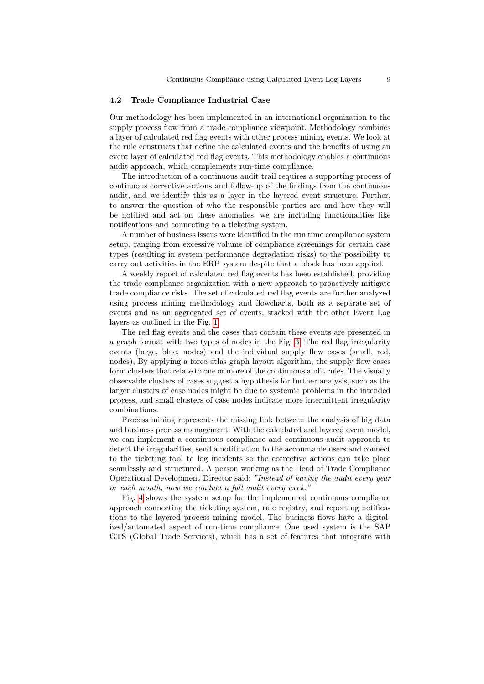#### 4.2 Trade Compliance Industrial Case

Our methodology hes been implemented in an international organization to the supply process flow from a trade compliance viewpoint. Methodology combines a layer of calculated red flag events with other process mining events. We look at the rule constructs that define the calculated events and the benefits of using an event layer of calculated red flag events. This methodology enables a continuous audit approach, which complements run-time compliance.

The introduction of a continuous audit trail requires a supporting process of continuous corrective actions and follow-up of the findings from the continuous audit, and we identify this as a layer in the layered event structure. Further, to answer the question of who the responsible parties are and how they will be notified and act on these anomalies, we are including functionalities like notifications and connecting to a ticketing system.

A number of business isseus were identified in the run time compliance system setup, ranging from excessive volume of compliance screenings for certain case types (resulting in system performance degradation risks) to the possibility to carry out activities in the ERP system despite that a block has been applied.

A weekly report of calculated red flag events has been established, providing the trade compliance organization with a new approach to proactively mitigate trade compliance risks. The set of calculated red flag events are further analyzed using process mining methodology and flowcharts, both as a separate set of events and as an aggregated set of events, stacked with the other Event Log layers as outlined in the Fig. [1](#page-1-0)

The red flag events and the cases that contain these events are presented in a graph format with two types of nodes in the Fig. [3.](#page-9-0) The red flag irregularity events (large, blue, nodes) and the individual supply flow cases (small, red, nodes), By applying a force atlas graph layout algorithm, the supply flow cases form clusters that relate to one or more of the continuous audit rules. The visually observable clusters of cases suggest a hypothesis for further analysis, such as the larger clusters of case nodes might be due to systemic problems in the intended process, and small clusters of case nodes indicate more intermittent irregularity combinations.

Process mining represents the missing link between the analysis of big data and business process management. With the calculated and layered event model, we can implement a continuous compliance and continuous audit approach to detect the irregularities, send a notification to the accountable users and connect to the ticketing tool to log incidents so the corrective actions can take place seamlessly and structured. A person working as the Head of Trade Compliance Operational Development Director said: "Instead of having the audit every year or each month, now we conduct a full audit every week."

Fig. [4](#page-9-1) shows the system setup for the implemented continuous compliance approach connecting the ticketing system, rule registry, and reporting notifications to the layered process mining model. The business flows have a digitalized/automated aspect of run-time compliance. One used system is the SAP GTS (Global Trade Services), which has a set of features that integrate with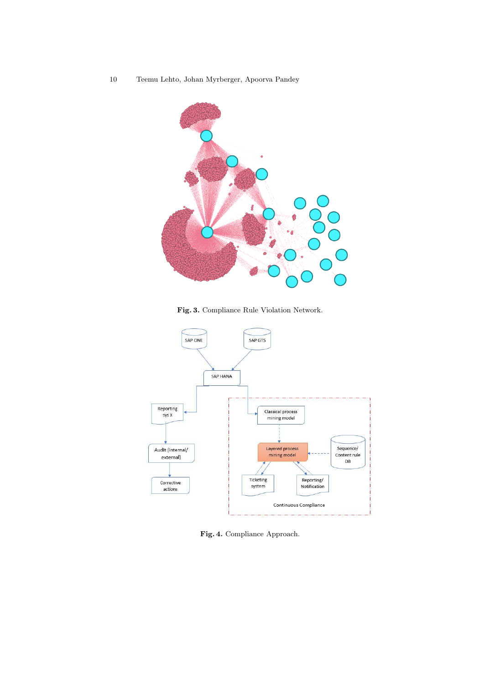

<span id="page-9-0"></span>Fig. 3. Compliance Rule Violation Network.



<span id="page-9-1"></span>Fig. 4. Compliance Approach.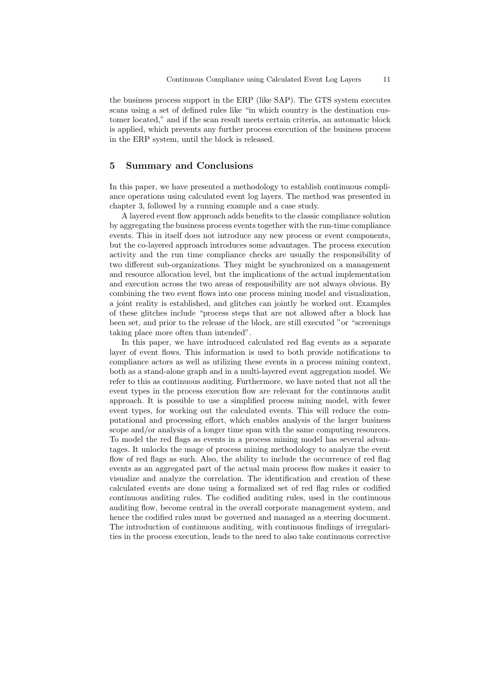the business process support in the ERP (like SAP). The GTS system executes scans using a set of defined rules like "in which country is the destination customer located," and if the scan result meets certain criteria, an automatic block is applied, which prevents any further process execution of the business process in the ERP system, until the block is released.

# <span id="page-10-0"></span>5 Summary and Conclusions

In this paper, we have presented a methodology to establish continuous compliance operations using calculated event log layers. The method was presented in chapter 3, followed by a running example and a case study.

A layered event flow approach adds benefits to the classic compliance solution by aggregating the business process events together with the run-time compliance events. This in itself does not introduce any new process or event components, but the co-layered approach introduces some advantages. The process execution activity and the run time compliance checks are usually the responsibility of two different sub-organizations. They might be synchronized on a management and resource allocation level, but the implications of the actual implementation and execution across the two areas of responsibility are not always obvious. By combining the two event flows into one process mining model and visualization, a joint reality is established, and glitches can jointly be worked out. Examples of these glitches include "process steps that are not allowed after a block has been set, and prior to the release of the block, are still executed "or "screenings taking place more often than intended".

In this paper, we have introduced calculated red flag events as a separate layer of event flows. This information is used to both provide notifications to compliance actors as well as utilizing these events in a process mining context, both as a stand-alone graph and in a multi-layered event aggregation model. We refer to this as continuous auditing. Furthermore, we have noted that not all the event types in the process execution flow are relevant for the continuous audit approach. It is possible to use a simplified process mining model, with fewer event types, for working out the calculated events. This will reduce the computational and processing effort, which enables analysis of the larger business scope and/or analysis of a longer time span with the same computing resources. To model the red flags as events in a process mining model has several advantages. It unlocks the usage of process mining methodology to analyze the event flow of red flags as such. Also, the ability to include the occurrence of red flag events as an aggregated part of the actual main process flow makes it easier to visualize and analyze the correlation. The identification and creation of these calculated events are done using a formalized set of red flag rules or codified continuous auditing rules. The codified auditing rules, used in the continuous auditing flow, become central in the overall corporate management system, and hence the codified rules must be governed and managed as a steering document. The introduction of continuous auditing, with continuous findings of irregularities in the process execution, leads to the need to also take continuous corrective